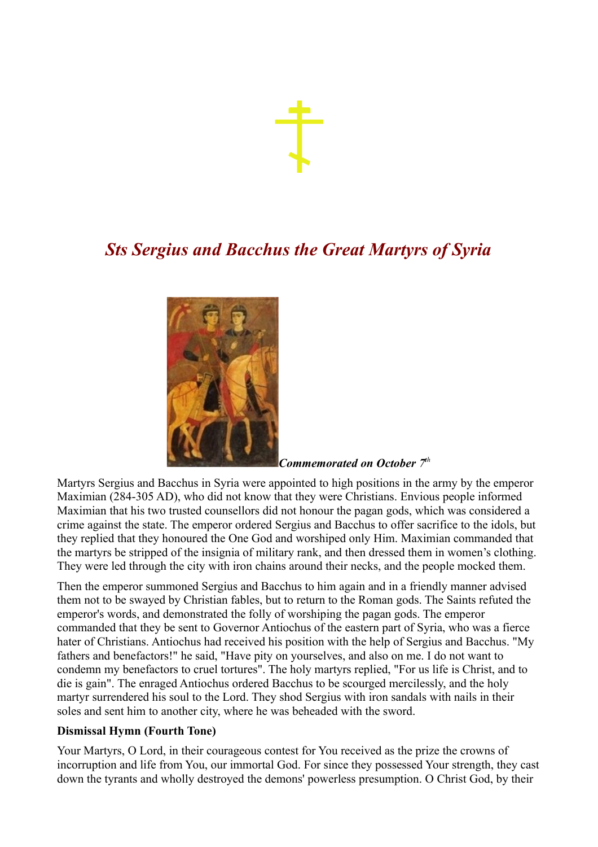## *Sts Sergius and Bacchus the Great Martyrs of Syria*



*Commemorated on October 7<sup>t</sup><sup>h</sup>*

Martyrs Sergius and Bacchus in Syria were appointed to high positions in the army by the emperor Maximian (284-305 AD), who did not know that they were Christians. Envious people informed Maximian that his two trusted counsellors did not honour the pagan gods, which was considered a crime against the state. The emperor ordered Sergius and Bacchus to offer sacrifice to the idols, but they replied that they honoured the One God and worshiped only Him. Maximian commanded that the martyrs be stripped of the insignia of military rank, and then dressed them in women's clothing. They were led through the city with iron chains around their necks, and the people mocked them.

Then the emperor summoned Sergius and Bacchus to him again and in a friendly manner advised them not to be swayed by Christian fables, but to return to the Roman gods. The Saints refuted the emperor's words, and demonstrated the folly of worshiping the pagan gods. The emperor commanded that they be sent to Governor Antiochus of the eastern part of Syria, who was a fierce hater of Christians. Antiochus had received his position with the help of Sergius and Bacchus. "My fathers and benefactors!" he said, "Have pity on yourselves, and also on me. I do not want to condemn my benefactors to cruel tortures". The holy martyrs replied, "For us life is Christ, and to die is gain". The enraged Antiochus ordered Bacchus to be scourged mercilessly, and the holy martyr surrendered his soul to the Lord. They shod Sergius with iron sandals with nails in their soles and sent him to another city, where he was beheaded with the sword.

## **Dismissal Hymn (Fourth Tone)**

Your Martyrs, O Lord, in their courageous contest for You received as the prize the crowns of incorruption and life from You, our immortal God. For since they possessed Your strength, they cast down the tyrants and wholly destroyed the demons' powerless presumption. O Christ God, by their